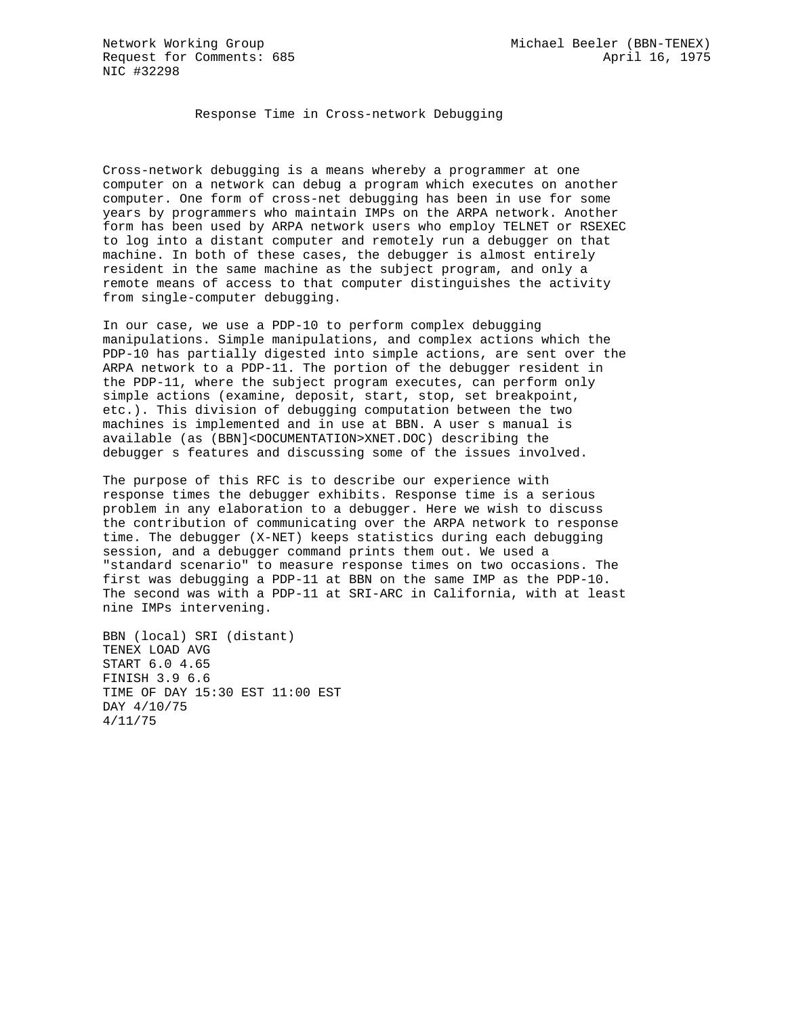Response Time in Cross-network Debugging

Cross-network debugging is a means whereby a programmer at one computer on a network can debug a program which executes on another computer. One form of cross-net debugging has been in use for some years by programmers who maintain IMPs on the ARPA network. Another form has been used by ARPA network users who employ TELNET or RSEXEC to log into a distant computer and remotely run a debugger on that machine. In both of these cases, the debugger is almost entirely resident in the same machine as the subject program, and only a remote means of access to that computer distinguishes the activity from single-computer debugging.

In our case, we use a PDP-10 to perform complex debugging manipulations. Simple manipulations, and complex actions which the PDP-10 has partially digested into simple actions, are sent over the ARPA network to a PDP-11. The portion of the debugger resident in the PDP-11, where the subject program executes, can perform only simple actions (examine, deposit, start, stop, set breakpoint, etc.). This division of debugging computation between the two machines is implemented and in use at BBN. A user s manual is available (as (BBN]<DOCUMENTATION>XNET.DOC) describing the debugger s features and discussing some of the issues involved.

The purpose of this RFC is to describe our experience with response times the debugger exhibits. Response time is a serious problem in any elaboration to a debugger. Here we wish to discuss the contribution of communicating over the ARPA network to response time. The debugger (X-NET) keeps statistics during each debugging session, and a debugger command prints them out. We used a "standard scenario" to measure response times on two occasions. The first was debugging a PDP-11 at BBN on the same IMP as the PDP-10. The second was with a PDP-11 at SRI-ARC in California, with at least nine IMPs intervening.

```
BBN (local) SRI (distant)
TENEX LOAD AVG
START 6.0 4.65
FINISH 3.9 6.6
TIME OF DAY 15:30 EST 11:00 EST
DAY 4/10/75
4/11/75
```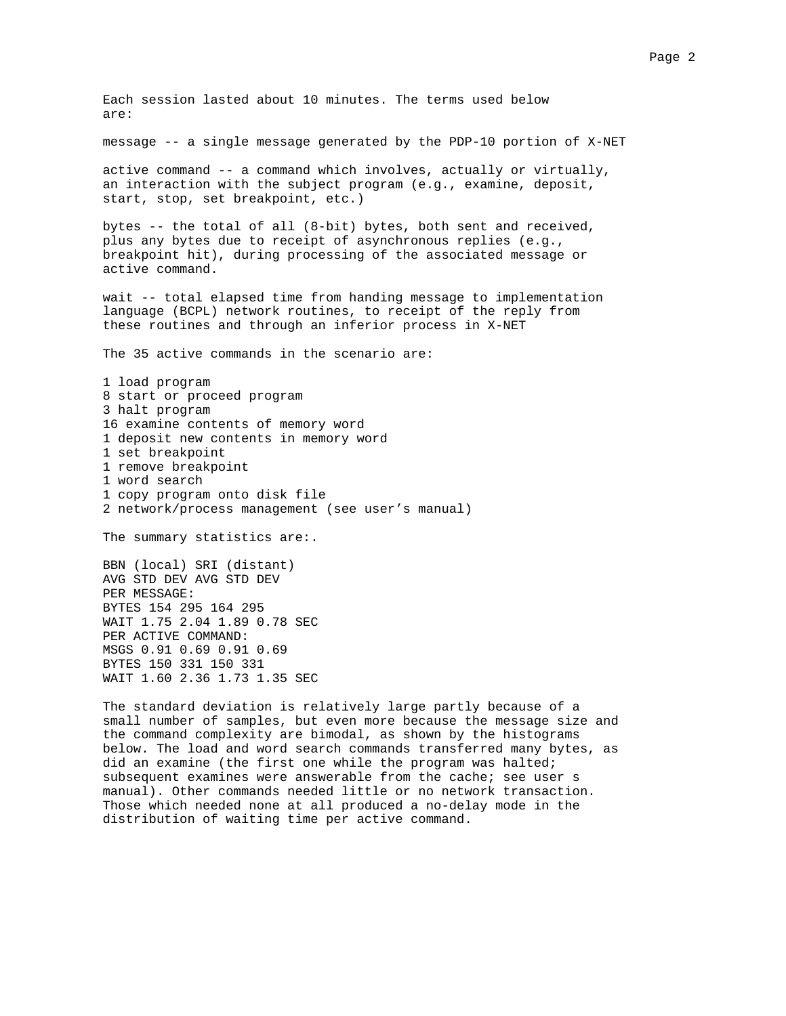Each session lasted about 10 minutes. The terms used below are: message -- a single message generated by the PDP-10 portion of X-NET active command -- a command which involves, actually or virtually, an interaction with the subject program (e.g., examine, deposit, start, stop, set breakpoint, etc.) bytes -- the total of all (8-bit) bytes, both sent and received, plus any bytes due to receipt of asynchronous replies (e.g., breakpoint hit), during processing of the associated message or active command. wait -- total elapsed time from handing message to implementation language (BCPL) network routines, to receipt of the reply from these routines and through an inferior process in X-NET The 35 active commands in the scenario are: 1 load program 8 start or proceed program 3 halt program 16 examine contents of memory word 1 deposit new contents in memory word 1 set breakpoint 1 remove breakpoint 1 word search 1 copy program onto disk file 2 network/process management (see user's manual) The summary statistics are:. BBN (local) SRI (distant) AVG STD DEV AVG STD DEV PER MESSAGE: BYTES 154 295 164 295 WAIT 1.75 2.04 1.89 0.78 SEC PER ACTIVE COMMAND: MSGS 0.91 0.69 0.91 0.69 BYTES 150 331 150 331 WAIT 1.60 2.36 1.73 1.35 SEC The standard deviation is relatively large partly because of a small number of samples, but even more because the message size and the command complexity are bimodal, as shown by the histograms below. The load and word search commands transferred many bytes, as did an examine (the first one while the program was halted; subsequent examines were answerable from the cache; see user s

manual). Other commands needed little or no network transaction. Those which needed none at all produced a no-delay mode in the distribution of waiting time per active command.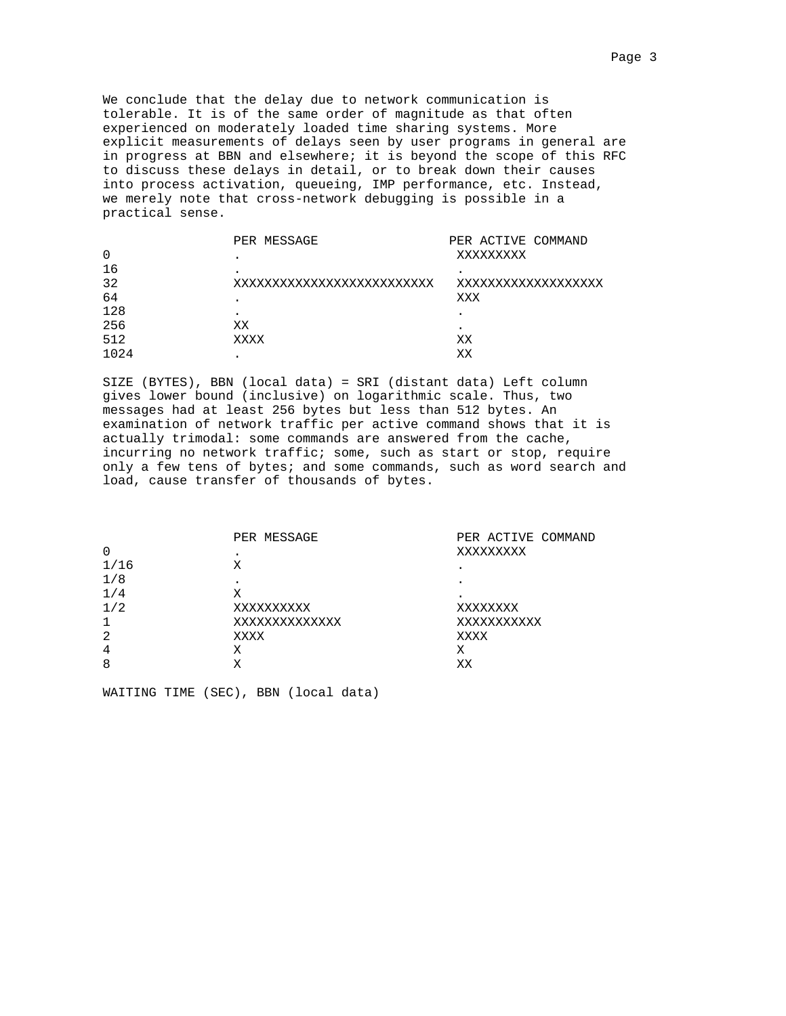We conclude that the delay due to network communication is tolerable. It is of the same order of magnitude as that often experienced on moderately loaded time sharing systems. More explicit measurements of delays seen by user programs in general are in progress at BBN and elsewhere; it is beyond the scope of this RFC to discuss these delays in detail, or to break down their causes into process activation, queueing, IMP performance, etc. Instead, we merely note that cross-network debugging is possible in a practical sense.

|          | PER MESSAGE              | PER ACTIVE COMMAND |
|----------|--------------------------|--------------------|
| $\Omega$ | $\bullet$                | XXXXXXXXX          |
| 16       |                          | $\bullet$          |
| 32       | xxxxxxxxxxxxxxxxxxxxxxxx | xxxxxxxxxxxxxxxxxx |
| 64       |                          | XXX                |
| 128      |                          |                    |
| 256      | XX                       | ٠                  |
| 512      | XXXX                     | XX                 |
| 1024     |                          | XХ                 |

SIZE (BYTES), BBN (local data) = SRI (distant data) Left column gives lower bound (inclusive) on logarithmic scale. Thus, two messages had at least 256 bytes but less than 512 bytes. An examination of network traffic per active command shows that it is actually trimodal: some commands are answered from the cache, incurring no network traffic; some, such as start or stop, require only a few tens of bytes; and some commands, such as word search and load, cause transfer of thousands of bytes.

|      | PER MESSAGE   | PER ACTIVE COMMAND |
|------|---------------|--------------------|
| 0    | $\bullet$     | XXXXXXXXX          |
| 1/16 | Χ             | $\bullet$          |
| 1/8  |               | $\bullet$          |
| 1/4  | Χ             | $\bullet$          |
| 1/2  | XXXXXXXXXX    | XXXXXXXX           |
|      | XXXXXXXXXXXXX | XXXXXXXXXXX        |
| 2    | XXXX          | XXXX               |
| 4    | Χ             | Χ                  |
| 8    | Χ             | XХ                 |
|      |               |                    |

WAITING TIME (SEC), BBN (local data)